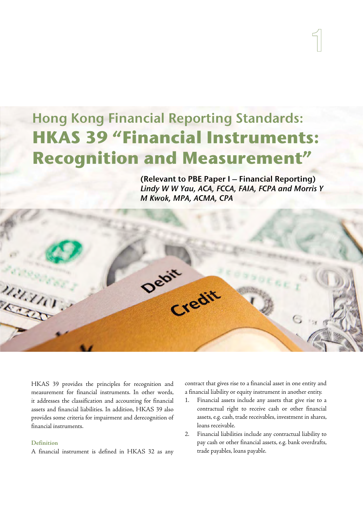# Hong Kong Financial Reporting Standards: **HKAS 39 "Financial Instruments: Recognition and Measurement"**

Debit

(Relevant to PBE Paper I – Financial Reporting) Lindy W W Yau, ACA, FCCA, FAIA, FCPA and Morris Y M Kwok, MPA, ACMA, CPA

**1**

HKAS 39 provides the principles for recognition and measurement for financial instruments. In other words, it addresses the classification and accounting for financial assets and financial liabilities. In addition, HKAS 39 also provides some criteria for impairment and derecognition of financial instruments.

# **Definition**

nann

A financial instrument is defined in HKAS 32 as any

contract that gives rise to a financial asset in one entity and a financial liability or equity instrument in another entity.

- 1. Financial assets include any assets that give rise to a contractual right to receive cash or other financial assets, e.g. cash, trade receivables, investment in shares, loans receivable.
- 2. Financial liabilities include any contractual liability to pay cash or other financial assets, e.g. bank overdrafts, trade payables, loans payable.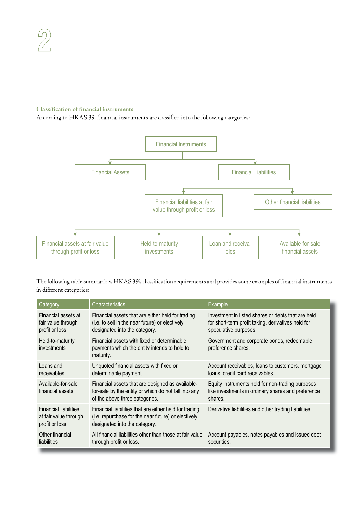# **Classification of financial instruments**

According to HKAS 39, financial instruments are classified into the following categories:



The following table summarizes HKAS 39's classification requirements and provides some examples of financial instruments in different categories:

| Category                                                                | <b>Characteristics</b>                                                                                                                         | Example                                                                                                                           |
|-------------------------------------------------------------------------|------------------------------------------------------------------------------------------------------------------------------------------------|-----------------------------------------------------------------------------------------------------------------------------------|
| Financial assets at<br>fair value through<br>profit or loss             | Financial assets that are either held for trading<br>(i.e. to sell in the near future) or electively<br>designated into the category.          | Investment in listed shares or debts that are held<br>for short-term profit taking, derivatives held for<br>speculative purposes. |
| Held-to-maturity<br>investments                                         | Financial assets with fixed or determinable<br>payments which the entity intends to hold to<br>maturity.                                       | Government and corporate bonds, redeemable<br>preference shares.                                                                  |
| Loans and<br>receivables                                                | Unquoted financial assets with fixed or<br>determinable payment.                                                                               | Account receivables, loans to customers, mortgage<br>loans, credit card receivables.                                              |
| Available-for-sale<br>financial assets                                  | Financial assets that are designed as available-<br>for-sale by the entity or which do not fall into any<br>of the above three categories.     | Equity instruments held for non-trading purposes<br>like investments in ordinary shares and preference<br>shares.                 |
| <b>Financial liabilities</b><br>at fair value through<br>profit or loss | Financial liabilities that are either held for trading<br>(i.e. repurchase for the near future) or electively<br>designated into the category. | Derivative liabilities and other trading liabilities.                                                                             |
| Other financial<br>liabilities                                          | All financial liabilities other than those at fair value<br>through profit or loss.                                                            | Account payables, notes payables and issued debt<br>securities.                                                                   |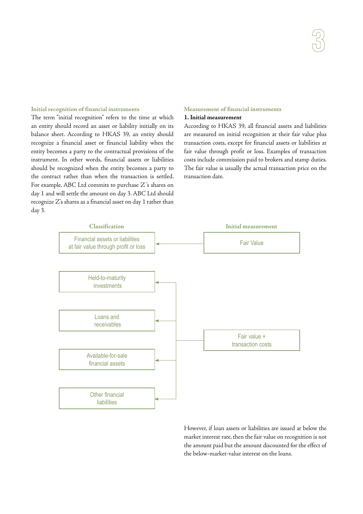#### **Initial recognition of financial instruments**

The term "initial recognition" refers to the time at which an entity should record an asset or liability initially on its balance sheet. According to HKAS 39, an entity should recognize a financial asset or financial liability when the entity becomes a party to the contractual provisions of the instrument. In other words, financial assets or liabilities should be recognized when the entity becomes a party to the contract rather than when the transaction is settled. For example, ABC Ltd commits to purchase Z 's shares on day 1 and will settle the amount on day 3. ABC Ltd should recognize Z's shares as a financial asset on day 1 rather than day 3.

## **Measurement of financial instruments**

## **1. Initial measurement**

According to HKAS 39, all financial assets and liabilities are measured on initial recognition at their fair value plus transaction costs, except for financial assets or liabilities at fair value through profit or loss. Examples of transaction costs include commission paid to brokers and stamp duties. The fair value is usually the actual transaction price on the transaction date.



However, if loan assets or liabilities are issued at below the market interest rate, then the fair value on recognition is not the amount paid but the amount discounted for the effect of the below-market-value interest on the loans.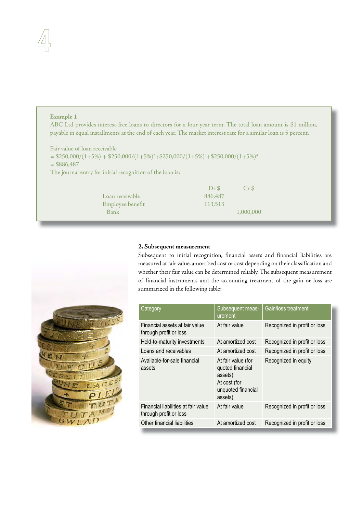# **Example 1**

ABC Ltd provides interest-free loans to directors for a four-year term. The total loan amount is \$1 million, payable in equal installments at the end of each year. The market interest rate for a similar loan is 5 percent.

Fair value of loan receivable  $= $250,000/(1+5%) + $250,000/(1+5%)^2 + $250,000/(1+5%)^3 + $250,000/(1+5%)^4$  $= $886,487$ The journal entry for initial recognition of the loan is:

|                  | DrS     | Cr S      |
|------------------|---------|-----------|
| Loan receivable  | 886,487 |           |
| Employee benefit | 113.513 |           |
| Bank             |         | 1,000,000 |
|                  |         |           |



## **2. Subsequent measurement**

Subsequent to initial recognition, financial assets and financial liabilities are measured at fair value, amortized cost or cost depending on their classification and whether their fair value can be determined reliably. The subsequent measurement of financial instruments and the accounting treatment of the gain or loss are summarized in the following table:

| Category                                                      | Subsequent meas-<br>urement                                                                        | Gain/loss treatment          |
|---------------------------------------------------------------|----------------------------------------------------------------------------------------------------|------------------------------|
| Financial assets at fair value<br>through profit or loss      | At fair value                                                                                      | Recognized in profit or loss |
| Held-to-maturity investments                                  | At amortized cost                                                                                  | Recognized in profit or loss |
| Loans and receivables                                         | At amortized cost                                                                                  | Recognized in profit or loss |
| Available-for-sale financial<br>assets                        | At fair value (for<br>quoted financial<br>assets)<br>At cost (for<br>unquoted financial<br>assets) | Recognized in equity         |
| Financial liabilities at fair value<br>through profit or loss | At fair value                                                                                      | Recognized in profit or loss |
| Other financial liabilities                                   | At amortized cost                                                                                  | Recognized in profit or loss |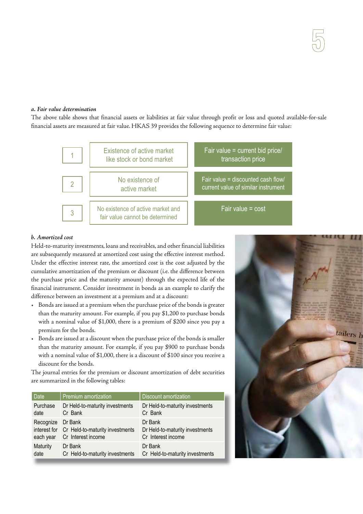## *a. Fair value determination*

The above table shows that financial assets or liabilities at fair value through profit or loss and quoted available-for-sale financial assets are measured at fair value. HKAS 39 provides the following sequence to determine fair value:



# *b. Amortized cost*

Held-to-maturity investments, loans and receivables, and other financial liabilities are subsequently measured at amortized cost using the effective interest method. Under the effective interest rate, the amortized cost is the cost adjusted by the cumulative amortization of the premium or discount (i.e. the difference between the purchase price and the maturity amount) through the expected life of the financial instrument. Consider investment in bonds as an example to clarify the difference between an investment at a premium and at a discount:

- Bonds are issued at a premium when the purchase price of the bonds is greater than the maturity amount. For example, if you pay \$1,200 to purchase bonds with a nominal value of \$1,000, there is a premium of \$200 since you pay a premium for the bonds.
- Bonds are issued at a discount when the purchase price of the bonds is smaller than the maturity amount. For example, if you pay \$900 to purchase bonds with a nominal value of \$1,000, there is a discount of \$100 since you receive a discount for the bonds.

The journal entries for the premium or discount amortization of debt securities are summarized in the following tables:

| <b>Date</b>            | Premium amortization                                                          | <b>Discount amortization</b>                                     |
|------------------------|-------------------------------------------------------------------------------|------------------------------------------------------------------|
| Purchase               | Dr Held-to-maturity investments                                               | Dr Held-to-maturity investments                                  |
| date                   | Cr Bank                                                                       | Cr Bank                                                          |
| Recognize<br>each year | Dr Bank<br>interest for Cr Held-to-maturity investments<br>Cr Interest income | Dr Bank<br>Dr Held-to-maturity investments<br>Cr Interest income |
| <b>Maturity</b>        | Dr Bank                                                                       | Dr Bank                                                          |
| date                   | Cr Held-to-maturity investments                                               | Cr Held-to-maturity investments                                  |

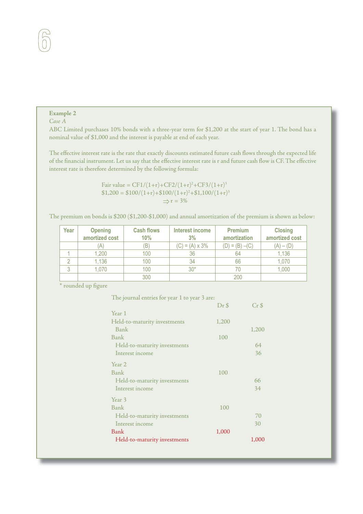# **Example 2**

# *Case A*

ABC Limited purchases 10% bonds with a three-year term for \$1,200 at the start of year 1. The bond has a nominal value of \$1,000 and the interest is payable at end of each year.

The effective interest rate is the rate that exactly discounts estimated future cash flows through the expected life of the financial instrument. Let us say that the effective interest rate is r and future cash flow is CF. The effective interest rate is therefore determined by the following formula:

> Fair value =  $CF1/(1+r) + CF2/(1+r)^2 + CF3/(1+r)^3$  $$1,200 = $100/(1+r) + $100/(1+r)^{2} + $1,100/(1+r)^{3}$  $\Rightarrow$  r = 3%

The premium on bonds is \$200 (\$1,200-\$1,000) and annual amortization of the premium is shown as below:

| Year | <b>Opening</b><br>amortized cost | <b>Cash flows</b><br>10% | Interest income<br>3%  | <b>Premium</b><br>amortization | <b>Closing</b><br>amortized cost |
|------|----------------------------------|--------------------------|------------------------|--------------------------------|----------------------------------|
|      | (A)                              | B                        | $(C) = (A) \times 3\%$ | $(D) = (B) - (C)$              | (A) – (D)                        |
|      | 1,200                            | 100                      | 36                     | 64                             | 1,136                            |
|      | 1,136                            | 100                      | 34                     | 66                             | 1,070                            |
| 3    | 1,070                            | 100                      | $30*$                  |                                | 1,000                            |
|      |                                  | 300                      |                        | 200                            |                                  |

\* rounded up figure

| The journal entries for year 1 to year 3 are: |       |         |
|-----------------------------------------------|-------|---------|
|                                               | Dr \$ | $Cr$ \$ |
| Year 1                                        |       |         |
| Held-to-maturity investments                  | 1,200 |         |
| Bank                                          |       | 1,200   |
| Bank                                          | 100   |         |
| Held-to-maturity investments                  |       | 64      |
| Interest income                               |       | 36      |
| Year 2                                        |       |         |
| Bank                                          | 100   |         |
| Held-to-maturity investments                  |       | 66      |
| Interest income                               |       | 34      |
| Year 3                                        |       |         |
| Bank                                          | 100   |         |
| Held-to-maturity investments                  |       | 70      |
| Interest income                               |       | 30      |
| Bank                                          | 1,000 |         |
| Held-to-maturity investments                  |       | 1,000   |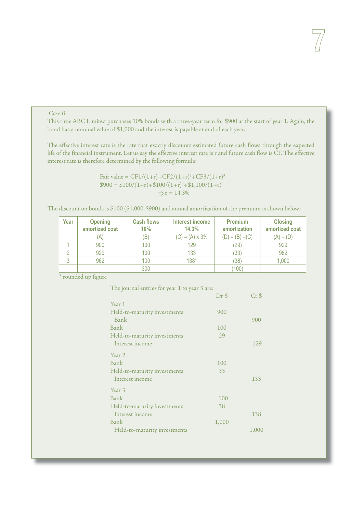## *Case B*

This time ABC Limited purchases 10% bonds with a three-year term for \$900 at the start of year 1. Again, the bond has a nominal value of \$1,000 and the interest is payable at end of each year.

The effective interest rate is the rate that exactly discounts estimated future cash flows through the expected life of the financial instrument. Let us say the effective interest rate is r and future cash flow is CF. The effective interest rate is therefore determined by the following formula:

> Fair value =  $CF1/(1+r) + CF2/(1+r)^2 + CF3/(1+r)^3$  $$900 = $100/(1+r) + $100/(1+r)^{2} + $1,100/(1+r)^{3}$  $\Rightarrow$  r = 14.3%

The discount on bonds is \$100 (\$1,000-\$900) and annual amortization of the premium is shown below:

| Year | <b>Opening</b><br>amortized cost | <b>Cash flows</b><br>10% | Interest income<br>14.3% | <b>Premium</b><br>amortization | <b>Closing</b><br>amortized cost |
|------|----------------------------------|--------------------------|--------------------------|--------------------------------|----------------------------------|
|      | A                                | (B'                      | $(C) = (A) \times 3\%$   | $(D) = (B) - (C)$              | $(A) - (D)$                      |
|      | 900                              | 100                      | 129                      | (29)                           | 929                              |
|      | 929                              | 100                      | 133                      | (33)                           | 962                              |
|      | 962                              | 100                      | $138*$                   | (38)                           | 1,000                            |
|      |                                  | 300                      |                          | (100)                          |                                  |

\* rounded up figure

| The journal entries for year 1 to year 3 are: |         |         |
|-----------------------------------------------|---------|---------|
|                                               | $Dr$ \$ | $Cr$ \$ |
| Year 1                                        |         |         |
| Held-to-maturity investments                  | 900     |         |
| Bank                                          |         | 900     |
| Bank                                          | 100     |         |
| Held-to-maturity investments                  | 29      |         |
| Interest income                               |         | 129     |
| Year 2                                        |         |         |
| Bank                                          | 100     |         |
| Held-to-maturity investments                  | 33      |         |
| Interest income                               |         | 133     |
| Year 3                                        |         |         |
| Bank                                          | 100     |         |
| Held-to-maturity investments                  | 38      |         |
| Interest income                               |         | 138     |
| Bank                                          | 1,000   |         |
| Held-to-maturity investments                  |         | 1,000   |
|                                               |         |         |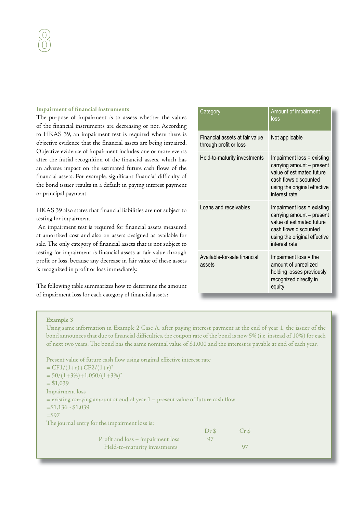#### **Impairment of financial instruments**

The purpose of impairment is to assess whether the values of the financial instruments are decreasing or not. According to HKAS 39, an impairment test is required where there is objective evidence that the financial assets are being impaired. Objective evidence of impairment includes one or more events after the initial recognition of the financial assets, which has an adverse impact on the estimated future cash flows of the financial assets. For example, significant financial difficulty of the bond issuer results in a default in paying interest payment or principal payment.

HKAS 39 also states that financial liabilities are not subject to testing for impairment.

 An impairment test is required for financial assets measured at amortized cost and also on assets designed as available for sale. The only category of financial assets that is not subject to testing for impairment is financial assets at fair value through profit or loss, because any decrease in fair value of these assets is recognized in profit or loss immediately.

The following table summarizes how to determine the amount of impairment loss for each category of financial assets:

| Category                                                 | Amount of impairment<br>loss                                                                                                                                   |
|----------------------------------------------------------|----------------------------------------------------------------------------------------------------------------------------------------------------------------|
| Financial assets at fair value<br>through profit or loss | Not applicable                                                                                                                                                 |
| Held-to-maturity investments                             | Impairment loss = existing<br>carrying amount - present<br>value of estimated future<br>cash flows discounted<br>using the original effective<br>interest rate |
| Loans and receivables                                    | Impairment loss = existing<br>carrying amount - present<br>value of estimated future<br>cash flows discounted<br>using the original effective<br>interest rate |
| Available-for-sale financial<br>assets                   | Impairment loss = the<br>amount of unrealized<br>holding losses previously<br>recognized directly in<br>equity                                                 |

#### **Example 3**

Using same information in Example 2 Case A, after paying interest payment at the end of year 1, the issuer of the bond announces that due to financial difficulties, the coupon rate of the bond is now 5% (i.e. instead of 10%) for each of next two years. The bond has the same nominal value of \$1,000 and the interest is payable at end of each year.

| Present value of future cash flow using original effective interest rate            |       |                 |
|-------------------------------------------------------------------------------------|-------|-----------------|
| $= CF1/(1+r)+CF2/(1+r)^2$                                                           |       |                 |
| $= 50/(1+3\%)+1,050/(1+3\%)^2$                                                      |       |                 |
| $= $1,039$                                                                          |       |                 |
| Impairment loss                                                                     |       |                 |
| $=$ existing carrying amount at end of year $1$ – present value of future cash flow |       |                 |
| $= $1,136 - $1,039$                                                                 |       |                 |
| $= $97$                                                                             |       |                 |
| The journal entry for the impairment loss is:                                       |       |                 |
|                                                                                     | Dr \$ | Cr <sub>5</sub> |
| Profit and loss - impairment loss                                                   | 97    |                 |
| Held-to-maturity investments                                                        |       |                 |
|                                                                                     |       |                 |